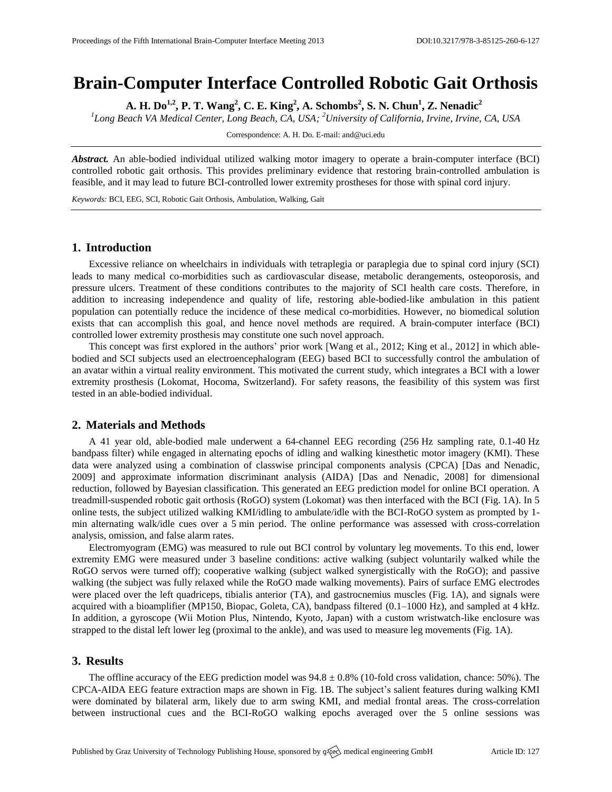# **Brain-Computer Interface Controlled Robotic Gait Orthosis**

**A. H. Do1,2 , P. T. Wang<sup>2</sup> , C. E. King<sup>2</sup> , A. Schombs<sup>2</sup> , S. N. Chun<sup>1</sup> , Z. Nenadic<sup>2</sup>**

*1 Long Beach VA Medical Center, Long Beach, CA, USA; <sup>2</sup>University of California, Irvine, Irvine, CA, USA*

Correspondence: A. H. Do. E-mail[: and@uci.edu](mailto:corresponding.author@address.com)

*Abstract.* An able-bodied individual utilized walking motor imagery to operate a brain-computer interface (BCI) controlled robotic gait orthosis. This provides preliminary evidence that restoring brain-controlled ambulation is feasible, and it may lead to future BCI-controlled lower extremity prostheses for those with spinal cord injury.

*Keywords:* BCI, EEG, SCI, Robotic Gait Orthosis, Ambulation, Walking, Gait

## **1. Introduction**

Excessive reliance on wheelchairs in individuals with tetraplegia or paraplegia due to spinal cord injury (SCI) leads to many medical co-morbidities such as cardiovascular disease, metabolic derangements, osteoporosis, and pressure ulcers. Treatment of these conditions contributes to the majority of SCI health care costs. Therefore, in addition to increasing independence and quality of life, restoring able-bodied-like ambulation in this patient population can potentially reduce the incidence of these medical co-morbidities. However, no biomedical solution exists that can accomplish this goal, and hence novel methods are required. A brain-computer interface (BCI) controlled lower extremity prosthesis may constitute one such novel approach.

This concept was first explored in the authors' prior work [Wang et al., 2012; King et al., 2012] in which ablebodied and SCI subjects used an electroencephalogram (EEG) based BCI to successfully control the ambulation of an avatar within a virtual reality environment. This motivated the current study, which integrates a BCI with a lower extremity prosthesis (Lokomat, Hocoma, Switzerland). For safety reasons, the feasibility of this system was first tested in an able-bodied individual.

#### **2. Materials and Methods**

A 41 year old, able-bodied male underwent a 64-channel EEG recording (256 Hz sampling rate, 0.1-40 Hz bandpass filter) while engaged in alternating epochs of idling and walking kinesthetic motor imagery (KMI). These data were analyzed using a combination of classwise principal components analysis (CPCA) [Das and Nenadic, 2009] and approximate information discriminant analysis (AIDA) [Das and Nenadic, 2008] for dimensional reduction, followed by Bayesian classification. This generated an EEG prediction model for online BCI operation. A treadmill-suspended robotic gait orthosis (RoGO) system (Lokomat) was then interfaced with the BCI (Fig. 1A). In 5 online tests, the subject utilized walking KMI/idling to ambulate/idle with the BCI-RoGO system as prompted by 1 min alternating walk/idle cues over a 5 min period. The online performance was assessed with cross-correlation analysis, omission, and false alarm rates.

Electromyogram (EMG) was measured to rule out BCI control by voluntary leg movements. To this end, lower extremity EMG were measured under 3 baseline conditions: active walking (subject voluntarily walked while the RoGO servos were turned off); cooperative walking (subject walked synergistically with the RoGO); and passive walking (the subject was fully relaxed while the RoGO made walking movements). Pairs of surface EMG electrodes were placed over the left quadriceps, tibialis anterior (TA), and gastrocnemius muscles (Fig. 1A), and signals were acquired with a bioamplifier (MP150, Biopac, Goleta, CA), bandpass filtered (0.1–1000 Hz), and sampled at 4 kHz. In addition, a gyroscope (Wii Motion Plus, Nintendo, Kyoto, Japan) with a custom wristwatch-like enclosure was strapped to the distal left lower leg (proximal to the ankle), and was used to measure leg movements (Fig. 1A).

## **3. Results**

The offline accuracy of the EEG prediction model was  $94.8 \pm 0.8\%$  (10-fold cross validation, chance: 50%). The CPCA-AIDA EEG feature extraction maps are shown in Fig. 1B. The subject's salient features during walking KMI were dominated by bilateral arm, likely due to arm swing KMI, and medial frontal areas. The cross-correlation between instructional cues and the BCI-RoGO walking epochs averaged over the 5 online sessions was